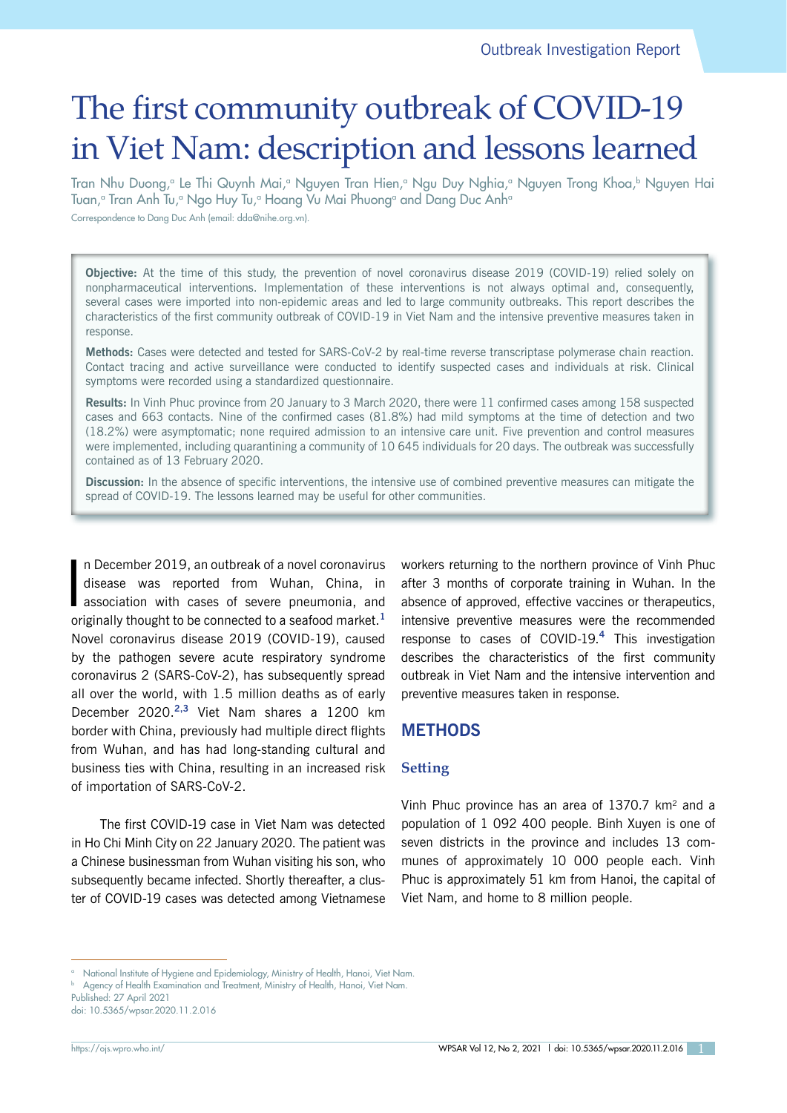# The first community outbreak of COVID-19 in Viet Nam: description and lessons learned

Tran Nhu Duong,ª Le Thi Quynh Mai,ª Nguyen Tran Hien,ª Ngu Duy Nghia,ª Nguyen Trong Khoa,♭ Nguyen Hai Tuan,ª Tran Anh Tu,ª Ngo Huy Tu,ª Hoang Vu Mai Phuongª and Dang Duc Anhª

Correspondence to Dang Duc Anh (email: dda@nihe.org.vn).

**Objective:** At the time of this study, the prevention of novel coronavirus disease 2019 (COVID-19) relied solely on nonpharmaceutical interventions. Implementation of these interventions is not always optimal and, consequently, several cases were imported into non-epidemic areas and led to large community outbreaks. This report describes the characteristics of the first community outbreak of COVID-19 in Viet Nam and the intensive preventive measures taken in response.

**Methods:** Cases were detected and tested for SARS-CoV-2 by real-time reverse transcriptase polymerase chain reaction. Contact tracing and active surveillance were conducted to identify suspected cases and individuals at risk. Clinical symptoms were recorded using a standardized questionnaire.

**Results:** In Vinh Phuc province from 20 January to 3 March 2020, there were 11 confirmed cases among 158 suspected cases and 663 contacts. Nine of the confirmed cases (81.8%) had mild symptoms at the time of detection and two (18.2%) were asymptomatic; none required admission to an intensive care unit. Five prevention and control measures were implemented, including quarantining a community of 10 645 individuals for 20 days. The outbreak was successfully contained as of 13 February 2020.

**Discussion:** In the absence of specific interventions, the intensive use of combined preventive measures can mitigate the spread of COVID-19. The lessons learned may be useful for other communities.

I n December 2019, an outbreak of a novel coronavirus disease was reported from Wuhan, China, in association with cases of severe pneumonia, and originally thought to be connected to a seafood market.**<sup>1</sup>** Novel coronavirus disease 2019 (COVID-19), caused by the pathogen severe acute respiratory syndrome coronavirus 2 (SARS-CoV-2), has subsequently spread all over the world, with 1.5 million deaths as of early December 2020.**2,3** Viet Nam shares a 1200 km border with China, previously had multiple direct flights from Wuhan, and has had long-standing cultural and business ties with China, resulting in an increased risk of importation of SARS-CoV-2.

The first COVID-19 case in Viet Nam was detected in Ho Chi Minh City on 22 January 2020. The patient was a Chinese businessman from Wuhan visiting his son, who subsequently became infected. Shortly thereafter, a cluster of COVID-19 cases was detected among Vietnamese workers returning to the northern province of Vinh Phuc after 3 months of corporate training in Wuhan. In the absence of approved, effective vaccines or therapeutics, intensive preventive measures were the recommended response to cases of COVID-19.**<sup>4</sup>** This investigation describes the characteristics of the first community outbreak in Viet Nam and the intensive intervention and preventive measures taken in response.

## **METHODS**

### **Setting**

Vinh Phuc province has an area of 1370.7 km<sup>2</sup> and a population of 1 092 400 people. Binh Xuyen is one of seven districts in the province and includes 13 communes of approximately 10 000 people each. Vinh Phuc is approximately 51 km from Hanoi, the capital of Viet Nam, and home to 8 million people.

<sup>&</sup>lt;sup>a</sup> National Institute of Hygiene and Epidemiology, Ministry of Health, Hanoi, Viet Nam.

**b** Agency of Health Examination and Treatment, Ministry of Health, Hanoi, Viet Nam.

Published: 27 April 2021

doi: 10.5365/wpsar.2020.11.2.016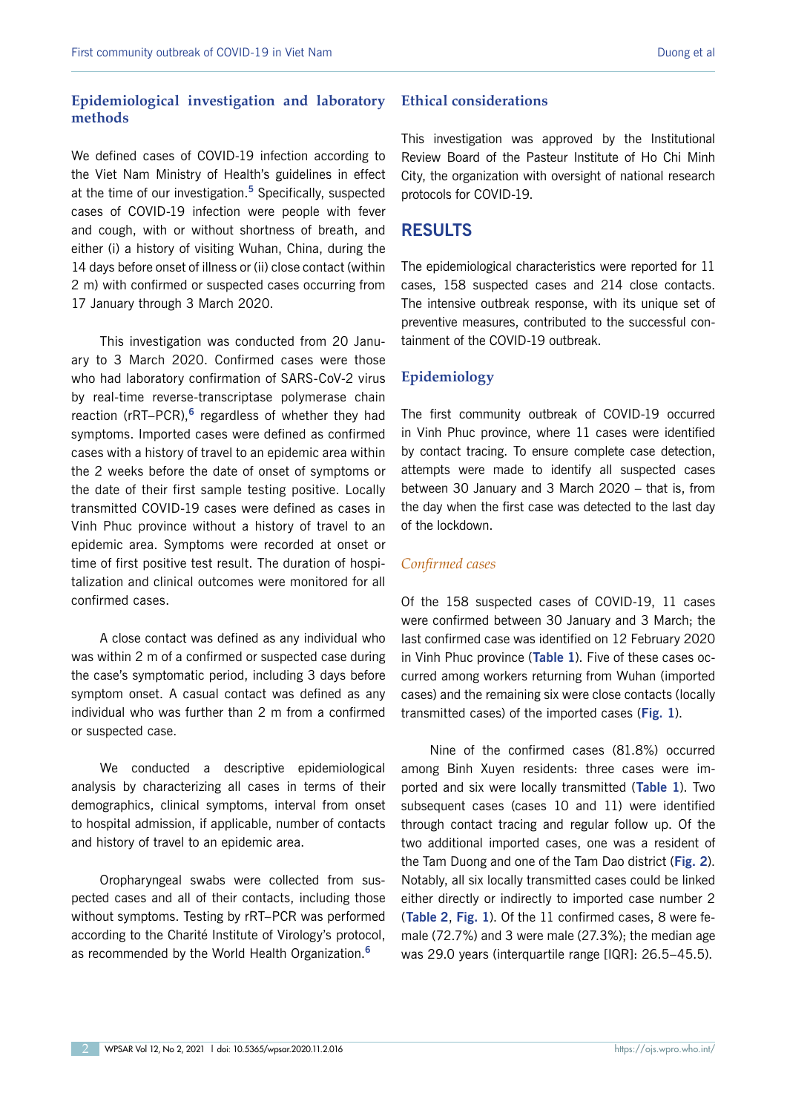## **Epidemiological investigation and laboratory methods**

We defined cases of COVID-19 infection according to the Viet Nam Ministry of Health's guidelines in effect at the time of our investigation.**<sup>5</sup>** Specifically, suspected cases of COVID-19 infection were people with fever and cough, with or without shortness of breath, and either (i) a history of visiting Wuhan, China, during the 14 days before onset of illness or (ii) close contact (within 2 m) with confirmed or suspected cases occurring from 17 January through 3 March 2020.

This investigation was conducted from 20 January to 3 March 2020. Confirmed cases were those who had laboratory confirmation of SARS-CoV-2 virus by real-time reverse-transcriptase polymerase chain reaction (rRT–PCR),**<sup>6</sup>** regardless of whether they had symptoms. Imported cases were defined as confirmed cases with a history of travel to an epidemic area within the 2 weeks before the date of onset of symptoms or the date of their first sample testing positive. Locally transmitted COVID-19 cases were defined as cases in Vinh Phuc province without a history of travel to an epidemic area. Symptoms were recorded at onset or time of first positive test result. The duration of hospitalization and clinical outcomes were monitored for all confirmed cases.

A close contact was defined as any individual who was within 2 m of a confirmed or suspected case during the case's symptomatic period, including 3 days before symptom onset. A casual contact was defined as any individual who was further than 2 m from a confirmed or suspected case.

We conducted a descriptive epidemiological analysis by characterizing all cases in terms of their demographics, clinical symptoms, interval from onset to hospital admission, if applicable, number of contacts and history of travel to an epidemic area.

Oropharyngeal swabs were collected from suspected cases and all of their contacts, including those without symptoms. Testing by rRT–PCR was performed according to the Charité Institute of Virology's protocol, as recommended by the World Health Organization.**<sup>6</sup>**

#### **Ethical considerations**

This investigation was approved by the Institutional Review Board of the Pasteur Institute of Ho Chi Minh City, the organization with oversight of national research protocols for COVID-19.

## **RESULTS**

The epidemiological characteristics were reported for 11 cases, 158 suspected cases and 214 close contacts. The intensive outbreak response, with its unique set of preventive measures, contributed to the successful containment of the COVID-19 outbreak.

### **Epidemiology**

The first community outbreak of COVID-19 occurred in Vinh Phuc province, where 11 cases were identified by contact tracing. To ensure complete case detection, attempts were made to identify all suspected cases between 30 January and 3 March 2020 – that is, from the day when the first case was detected to the last day of the lockdown.

### *Confirmed cases*

Of the 158 suspected cases of COVID-19, 11 cases were confirmed between 30 January and 3 March; the last confirmed case was identified on 12 February 2020 in Vinh Phuc province (**[Table](#page-2-0) 1**). Five of these cases occurred among workers returning from Wuhan (imported cases) and the remaining six were close contacts (locally transmitted cases) of the imported cases (**[Fig.](#page-2-0) 1**).

Nine of the confirmed cases (81.8%) occurred among Binh Xuyen residents: three cases were imported and six were locally transmitted (**[Table](#page-2-0) 1**). Two subsequent cases (cases 10 and 11) were identified through contact tracing and regular follow up. Of the two additional imported cases, one was a resident of the Tam Duong and one of the Tam Dao district (**[Fig. 2](#page-3-0)**). Notably, all six locally transmitted cases could be linked either directly or indirectly to imported case number 2 (**[Table 2](#page-4-0)**, **[Fig.](#page-2-0) 1**). Of the 11 confirmed cases, 8 were female (72.7%) and 3 were male (27.3%); the median age was 29.0 years (interquartile range [IQR]: 26.5–45.5).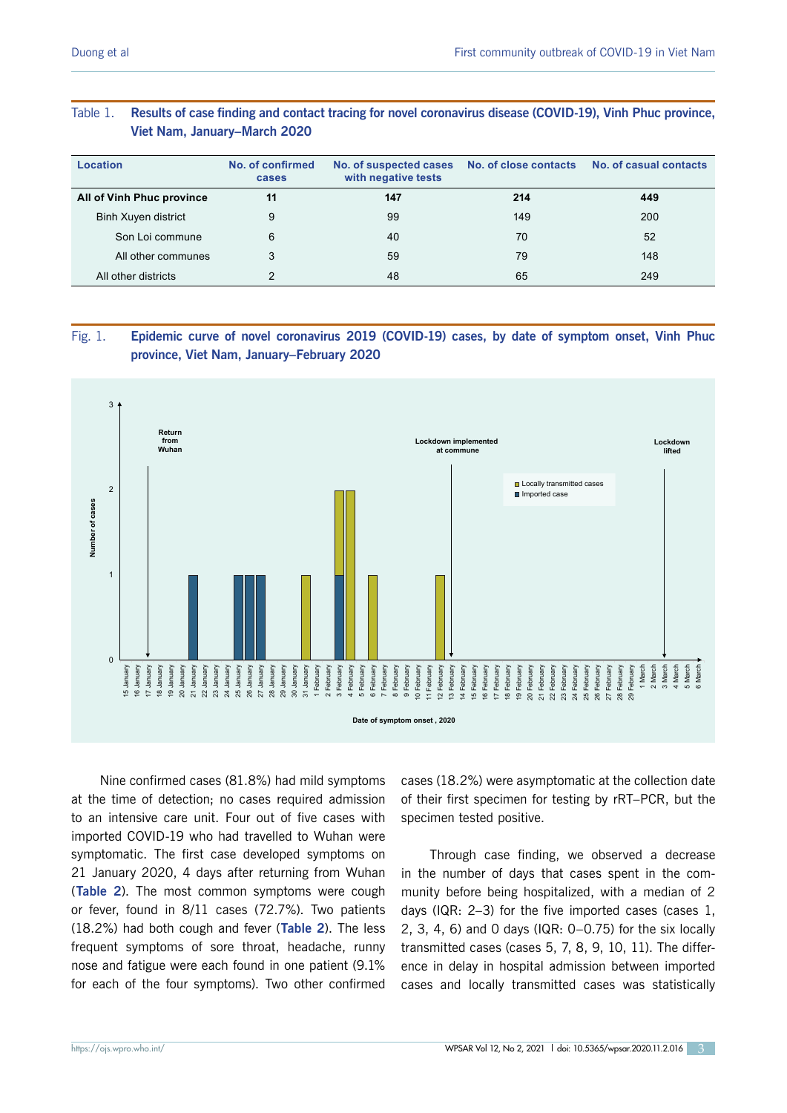## <span id="page-2-0"></span>Table 1. **Results of case finding and contact tracing for novel coronavirus disease (COVID-19), Vinh Phuc province, Viet Nam, January–March 2020**

| Location                   | No. of confirmed<br>cases | No. of suspected cases<br>with negative tests |     | No. of close contacts No. of casual contacts |
|----------------------------|---------------------------|-----------------------------------------------|-----|----------------------------------------------|
| All of Vinh Phuc province  | 11                        | 147                                           | 214 | 449                                          |
| <b>Binh Xuyen district</b> | 9                         | 99                                            | 149 | 200                                          |
| Son Loi commune            | 6                         | 40                                            | 70  | 52                                           |
| All other communes         | 3                         | 59<br>79                                      |     | 148                                          |
| All other districts        |                           | 48                                            | 65  | 249                                          |

## Fig. 1. **Epidemic curve of novel coronavirus 2019 (COVID-19) cases, by date of symptom onset, Vinh Phuc province, Viet Nam, January–February 2020**



Nine confirmed cases (81.8%) had mild symptoms at the time of detection; no cases required admission to an intensive care unit. Four out of five cases with imported COVID-19 who had travelled to Wuhan were symptomatic. The first case developed symptoms on 21 January 2020, 4 days after returning from Wuhan (**[Table 2](#page-4-0)**). The most common symptoms were cough or fever, found in 8/11 cases (72.7%). Two patients (18.2%) had both cough and fever (**[Table 2](#page-4-0)**). The less frequent symptoms of sore throat, headache, runny nose and fatigue were each found in one patient (9.1% for each of the four symptoms). Two other confirmed cases (18.2%) were asymptomatic at the collection date of their first specimen for testing by rRT–PCR, but the specimen tested positive.

Through case finding, we observed a decrease in the number of days that cases spent in the community before being hospitalized, with a median of 2 days (IQR: 2–3) for the five imported cases (cases 1, 2, 3, 4, 6) and 0 days (IQR: 0–0.75) for the six locally transmitted cases (cases 5, 7, 8, 9, 10, 11). The difference in delay in hospital admission between imported cases and locally transmitted cases was statistically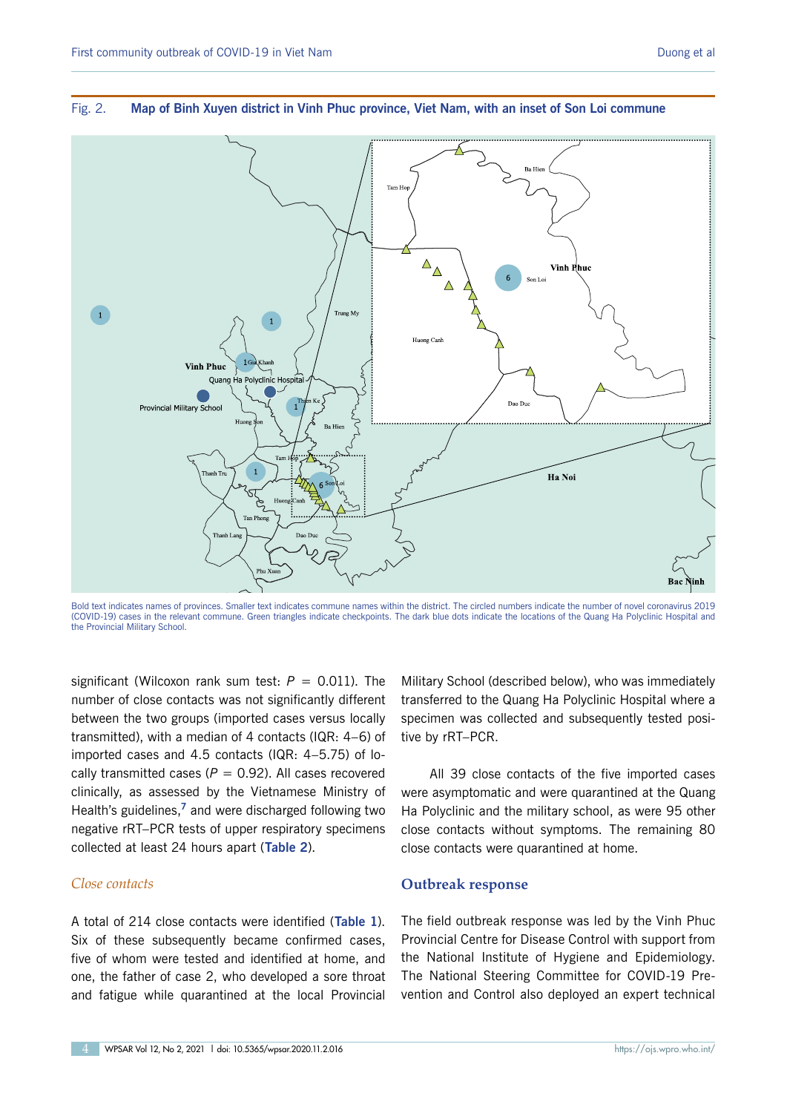

#### <span id="page-3-0"></span>Fig. 2. **Map of Binh Xuyen district in Vinh Phuc province, Viet Nam, with an inset of Son Loi commune**

Bold text indicates names of provinces. Smaller text indicates commune names within the district. The circled numbers indicate the number of novel coronavirus 2019 (COVID-19) cases in the relevant commune. Green triangles indicate checkpoints. The dark blue dots indicate the locations of the Quang Ha Polyclinic Hospital and the Provincial Military School.

significant (Wilcoxon rank sum test:  $P = 0.011$ ). The number of close contacts was not significantly different between the two groups (imported cases versus locally transmitted), with a median of 4 contacts (IQR: 4–6) of imported cases and 4.5 contacts (IQR: 4–5.75) of locally transmitted cases ( $P = 0.92$ ). All cases recovered clinically, as assessed by the Vietnamese Ministry of Health's guidelines,**<sup>7</sup>** and were discharged following two negative rRT–PCR tests of upper respiratory specimens collected at least 24 hours apart (**[Table 2](#page-4-0)**).

#### *Close contacts*

A total of 214 close contacts were identified (**[Table](#page-2-0) 1**). Six of these subsequently became confirmed cases, five of whom were tested and identified at home, and one, the father of case 2, who developed a sore throat and fatigue while quarantined at the local Provincial Military School (described below), who was immediately transferred to the Quang Ha Polyclinic Hospital where a specimen was collected and subsequently tested positive by rRT–PCR.

All 39 close contacts of the five imported cases were asymptomatic and were quarantined at the Quang Ha Polyclinic and the military school, as were 95 other close contacts without symptoms. The remaining 80 close contacts were quarantined at home.

#### **Outbreak response**

The field outbreak response was led by the Vinh Phuc Provincial Centre for Disease Control with support from the National Institute of Hygiene and Epidemiology. The National Steering Committee for COVID-19 Prevention and Control also deployed an expert technical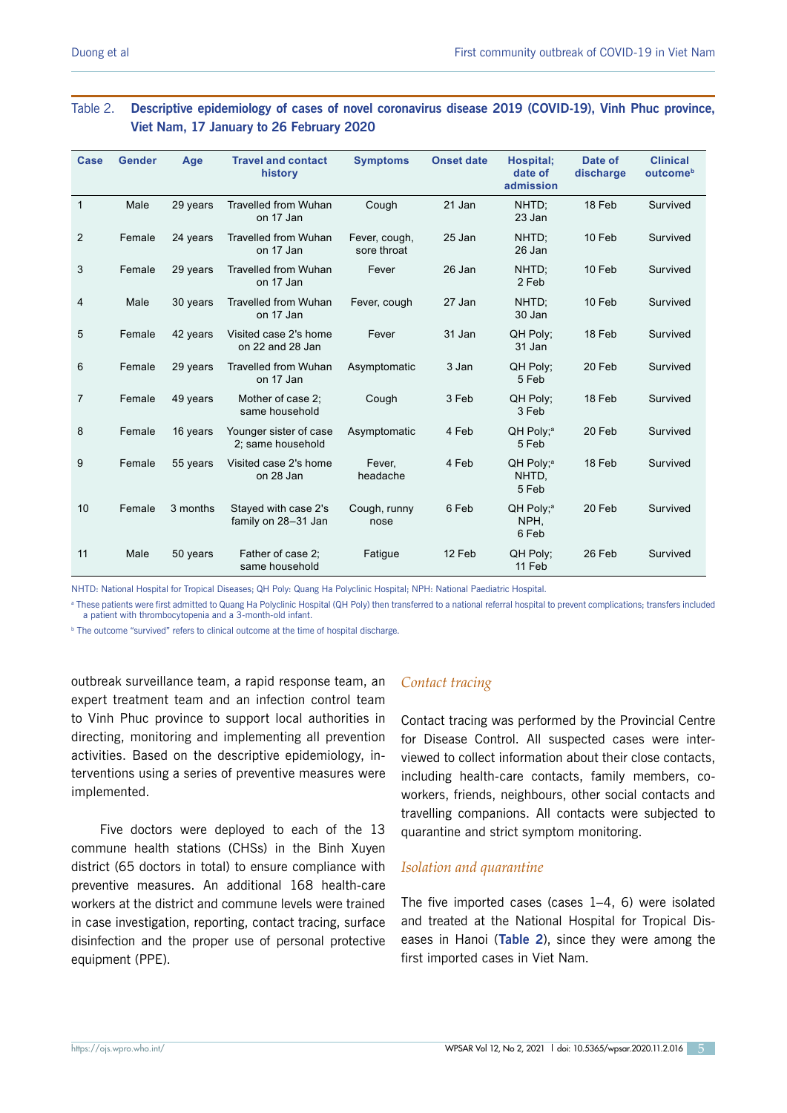## <span id="page-4-0"></span>Table 2. **Descriptive epidemiology of cases of novel coronavirus disease 2019 (COVID-19), Vinh Phuc province, Viet Nam, 17 January to 26 February 2020**

| <b>Case</b>    | <b>Gender</b> | Age      | <b>Travel and contact</b><br>history        | <b>Symptoms</b>              | <b>Onset date</b> | Hospital;<br>date of<br>admission       | Date of<br>discharge | <b>Clinical</b><br>outcome <sup>b</sup> |
|----------------|---------------|----------|---------------------------------------------|------------------------------|-------------------|-----------------------------------------|----------------------|-----------------------------------------|
| $\mathbf{1}$   | Male          | 29 years | <b>Travelled from Wuhan</b><br>on 17 Jan    | Cough                        | 21 Jan            | NHTD:<br>23 Jan                         | 18 Feb               | Survived                                |
| 2              | Female        | 24 years | Travelled from Wuhan<br>on 17 Jan           | Fever, cough,<br>sore throat | 25 Jan            | NHTD:<br>26 Jan                         | 10 Feb               | Survived                                |
| 3              | Female        | 29 years | <b>Travelled from Wuhan</b><br>on 17 Jan    | Fever                        | 26 Jan            | NHTD:<br>2 Feb                          | 10 Feb               | Survived                                |
| 4              | Male          | 30 years | <b>Travelled from Wuhan</b><br>on 17 Jan    | Fever, cough                 | 27 Jan            | NHTD:<br>30 Jan                         | 10 Feb               | Survived                                |
| 5              | Female        | 42 years | Visited case 2's home<br>on 22 and 28 Jan   | Fever                        | 31 Jan            | QH Poly:<br>31 Jan                      | 18 Feb               | Survived                                |
| 6              | Female        | 29 years | <b>Travelled from Wuhan</b><br>on 17 Jan    | Asymptomatic                 | 3 Jan             | QH Poly;<br>5 Feb                       | 20 Feb               | Survived                                |
| $\overline{7}$ | Female        | 49 years | Mother of case 2;<br>same household         | Cough                        | 3 Feb             | QH Poly;<br>3 Feb                       | 18 Feb               | Survived                                |
| 8              | Female        | 16 years | Younger sister of case<br>2; same household | Asymptomatic                 | 4 Feb             | QH Poly; <sup>a</sup><br>5 Feb          | 20 Feb               | Survived                                |
| 9              | Female        | 55 years | Visited case 2's home<br>on 28 Jan          | Fever,<br>headache           | 4 Feb             | QH Poly; <sup>a</sup><br>NHTD.<br>5 Feb | 18 Feb               | Survived                                |
| 10             | Female        | 3 months | Stayed with case 2's<br>family on 28-31 Jan | Cough, runny<br>nose         | 6 Feb             | QH Poly; <sup>a</sup><br>NPH.<br>6 Feb  | 20 Feb               | Survived                                |
| 11             | Male          | 50 years | Father of case 2;<br>same household         | Fatique                      | 12 Feb            | QH Poly:<br>11 Feb                      | 26 Feb               | Survived                                |

NHTD: National Hospital for Tropical Diseases; QH Poly: Quang Ha Polyclinic Hospital; NPH: National Paediatric Hospital.

<sup>a</sup> These patients were first admitted to Quang Ha Polyclinic Hospital (QH Poly) then transferred to a national referral hospital to prevent complications; transfers included a patient with thrombocytopenia and a 3-month-old infant.

**<sup>b</sup> The outcome "survived" refers to clinical outcome at the time of hospital discharge.** 

outbreak surveillance team, a rapid response team, an expert treatment team and an infection control team to Vinh Phuc province to support local authorities in directing, monitoring and implementing all prevention activities. Based on the descriptive epidemiology, interventions using a series of preventive measures were implemented.

Five doctors were deployed to each of the 13 commune health stations (CHSs) in the Binh Xuyen district (65 doctors in total) to ensure compliance with preventive measures. An additional 168 health-care workers at the district and commune levels were trained in case investigation, reporting, contact tracing, surface disinfection and the proper use of personal protective equipment (PPE).

### *Contact tracing*

Contact tracing was performed by the Provincial Centre for Disease Control. All suspected cases were interviewed to collect information about their close contacts, including health-care contacts, family members, coworkers, friends, neighbours, other social contacts and travelling companions. All contacts were subjected to quarantine and strict symptom monitoring.

#### *Isolation and quarantine*

The five imported cases (cases  $1-4$ , 6) were isolated and treated at the National Hospital for Tropical Diseases in Hanoi (**Table 2**), since they were among the first imported cases in Viet Nam.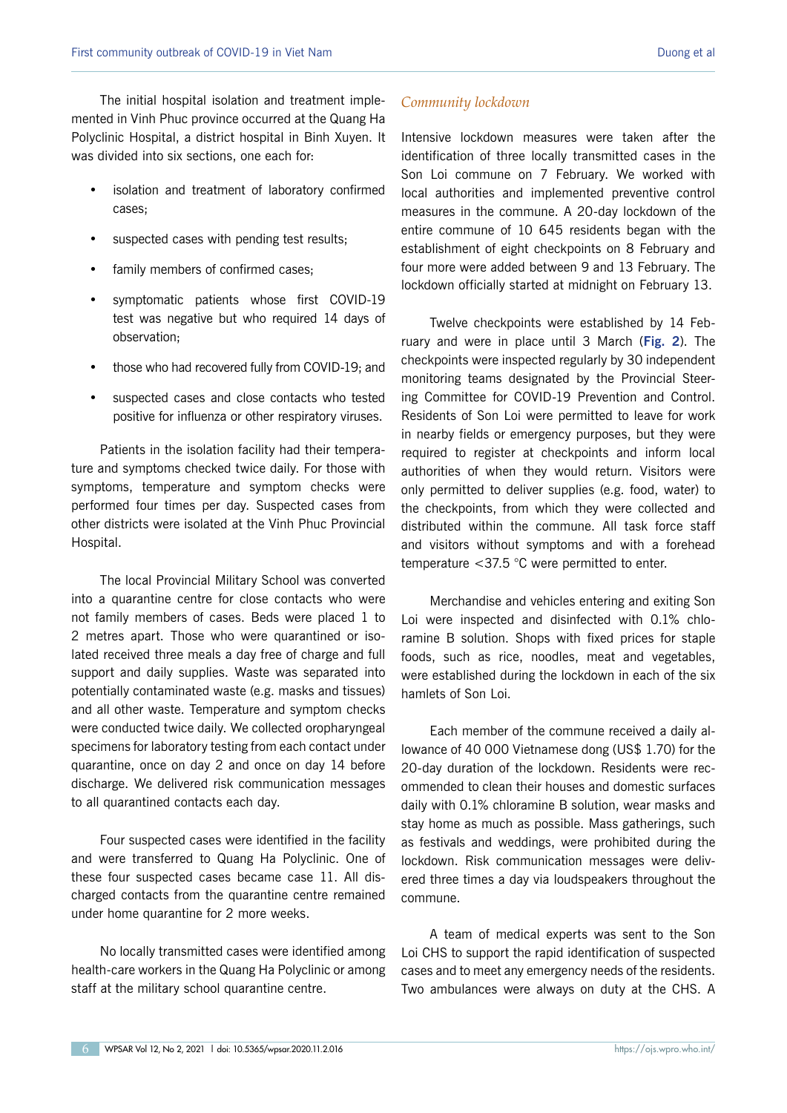The initial hospital isolation and treatment implemented in Vinh Phuc province occurred at the Quang Ha Polyclinic Hospital, a district hospital in Binh Xuyen. It was divided into six sections, one each for:

- isolation and treatment of laboratory confirmed cases;
- suspected cases with pending test results;
- family members of confirmed cases;
- symptomatic patients whose first COVID-19 test was negative but who required 14 days of observation;
- those who had recovered fully from COVID-19; and
- suspected cases and close contacts who tested positive for influenza or other respiratory viruses.

Patients in the isolation facility had their temperature and symptoms checked twice daily. For those with symptoms, temperature and symptom checks were performed four times per day. Suspected cases from other districts were isolated at the Vinh Phuc Provincial Hospital.

The local Provincial Military School was converted into a quarantine centre for close contacts who were not family members of cases. Beds were placed 1 to 2 metres apart. Those who were quarantined or isolated received three meals a day free of charge and full support and daily supplies. Waste was separated into potentially contaminated waste (e.g. masks and tissues) and all other waste. Temperature and symptom checks were conducted twice daily. We collected oropharyngeal specimens for laboratory testing from each contact under quarantine, once on day 2 and once on day 14 before discharge. We delivered risk communication messages to all quarantined contacts each day.

Four suspected cases were identified in the facility and were transferred to Quang Ha Polyclinic. One of these four suspected cases became case 11. All discharged contacts from the quarantine centre remained under home quarantine for 2 more weeks.

No locally transmitted cases were identified among health-care workers in the Quang Ha Polyclinic or among staff at the military school quarantine centre.

#### *Community lockdown*

Intensive lockdown measures were taken after the identification of three locally transmitted cases in the Son Loi commune on 7 February. We worked with local authorities and implemented preventive control measures in the commune. A 20-day lockdown of the entire commune of 10 645 residents began with the establishment of eight checkpoints on 8 February and four more were added between 9 and 13 February. The lockdown officially started at midnight on February 13.

Twelve checkpoints were established by 14 February and were in place until 3 March (**Fig. 2**). The checkpoints were inspected regularly by 30 independent monitoring teams designated by the Provincial Steering Committee for COVID-19 Prevention and Control. Residents of Son Loi were permitted to leave for work in nearby fields or emergency purposes, but they were required to register at checkpoints and inform local authorities of when they would return. Visitors were only permitted to deliver supplies (e.g. food, water) to the checkpoints, from which they were collected and distributed within the commune. All task force staff and visitors without symptoms and with a forehead temperature <37.5 °C were permitted to enter.

Merchandise and vehicles entering and exiting Son Loi were inspected and disinfected with 0.1% chloramine B solution. Shops with fixed prices for staple foods, such as rice, noodles, meat and vegetables, were established during the lockdown in each of the six hamlets of Son Loi.

Each member of the commune received a daily allowance of 40 000 Vietnamese dong (US\$ 1.70) for the 20-day duration of the lockdown. Residents were recommended to clean their houses and domestic surfaces daily with 0.1% chloramine B solution, wear masks and stay home as much as possible. Mass gatherings, such as festivals and weddings, were prohibited during the lockdown. Risk communication messages were delivered three times a day via loudspeakers throughout the commune.

A team of medical experts was sent to the Son Loi CHS to support the rapid identification of suspected cases and to meet any emergency needs of the residents. Two ambulances were always on duty at the CHS. A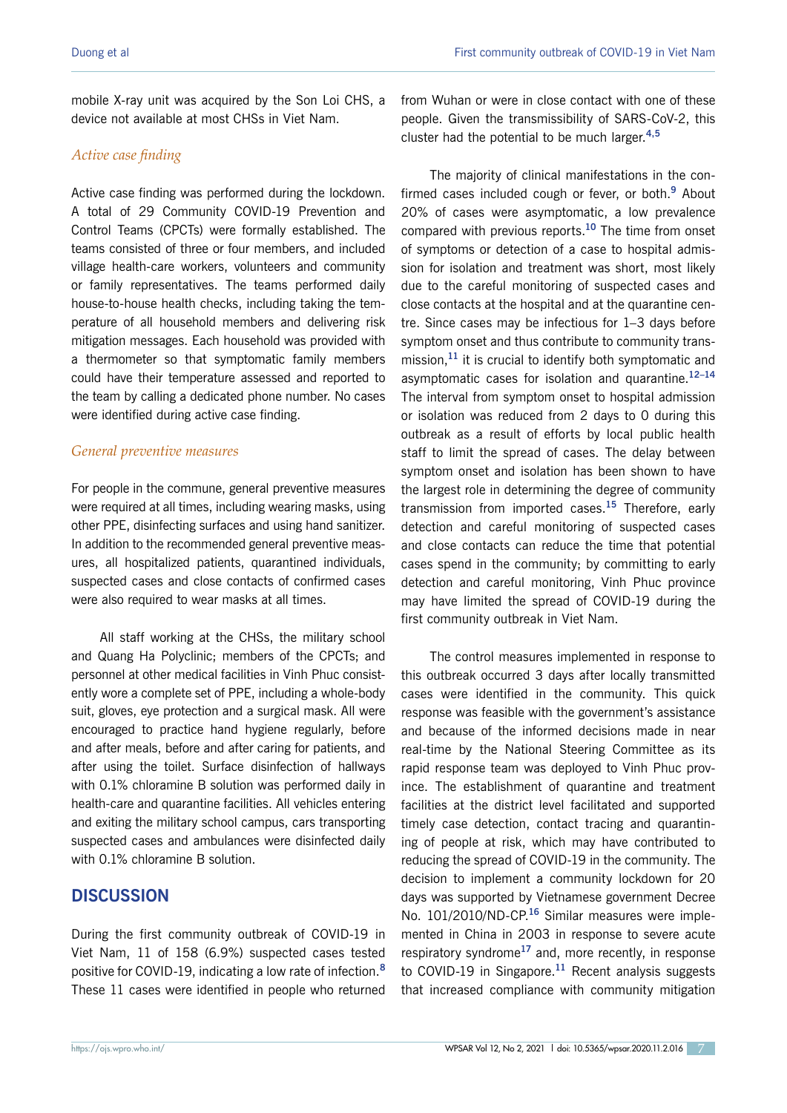mobile X-ray unit was acquired by the Son Loi CHS, a device not available at most CHSs in Viet Nam.

## *Active case finding*

Active case finding was performed during the lockdown. A total of 29 Community COVID-19 Prevention and Control Teams (CPCTs) were formally established. The teams consisted of three or four members, and included village health-care workers, volunteers and community or family representatives. The teams performed daily house-to-house health checks, including taking the temperature of all household members and delivering risk mitigation messages. Each household was provided with a thermometer so that symptomatic family members could have their temperature assessed and reported to the team by calling a dedicated phone number. No cases were identified during active case finding.

## *General preventive measures*

For people in the commune, general preventive measures were required at all times, including wearing masks, using other PPE, disinfecting surfaces and using hand sanitizer. In addition to the recommended general preventive measures, all hospitalized patients, quarantined individuals, suspected cases and close contacts of confirmed cases were also required to wear masks at all times.

All staff working at the CHSs, the military school and Quang Ha Polyclinic; members of the CPCTs; and personnel at other medical facilities in Vinh Phuc consistently wore a complete set of PPE, including a whole-body suit, gloves, eye protection and a surgical mask. All were encouraged to practice hand hygiene regularly, before and after meals, before and after caring for patients, and after using the toilet. Surface disinfection of hallways with 0.1% chloramine B solution was performed daily in health-care and quarantine facilities. All vehicles entering and exiting the military school campus, cars transporting suspected cases and ambulances were disinfected daily with 0.1% chloramine B solution.

## **DISCUSSION**

During the first community outbreak of COVID-19 in Viet Nam, 11 of 158 (6.9%) suspected cases tested positive for COVID-19, indicating a low rate of infection.**<sup>8</sup>** These 11 cases were identified in people who returned

from Wuhan or were in close contact with one of these people. Given the transmissibility of SARS-CoV-2, this cluster had the potential to be much larger.**4,5**

The majority of clinical manifestations in the confirmed cases included cough or fever, or both.**<sup>9</sup>** About 20% of cases were asymptomatic, a low prevalence compared with previous reports.**<sup>10</sup>** The time from onset of symptoms or detection of a case to hospital admission for isolation and treatment was short, most likely due to the careful monitoring of suspected cases and close contacts at the hospital and at the quarantine centre. Since cases may be infectious for 1–3 days before symptom onset and thus contribute to community transmission,**<sup>11</sup>** it is crucial to identify both symptomatic and asymptomatic cases for isolation and quarantine.**12–14** The interval from symptom onset to hospital admission or isolation was reduced from 2 days to 0 during this outbreak as a result of efforts by local public health staff to limit the spread of cases. The delay between symptom onset and isolation has been shown to have the largest role in determining the degree of community transmission from imported cases.**<sup>15</sup>** Therefore, early detection and careful monitoring of suspected cases and close contacts can reduce the time that potential cases spend in the community; by committing to early detection and careful monitoring, Vinh Phuc province may have limited the spread of COVID-19 during the first community outbreak in Viet Nam.

The control measures implemented in response to this outbreak occurred 3 days after locally transmitted cases were identified in the community. This quick response was feasible with the government's assistance and because of the informed decisions made in near real-time by the National Steering Committee as its rapid response team was deployed to Vinh Phuc province. The establishment of quarantine and treatment facilities at the district level facilitated and supported timely case detection, contact tracing and quarantining of people at risk, which may have contributed to reducing the spread of COVID-19 in the community. The decision to implement a community lockdown for 20 days was supported by Vietnamese government Decree No. 101/2010/ND-CP.**<sup>16</sup>** Similar measures were implemented in China in 2003 in response to severe acute respiratory syndrome**<sup>17</sup>** and, more recently, in response to COVID-19 in Singapore.**<sup>11</sup>** Recent analysis suggests that increased compliance with community mitigation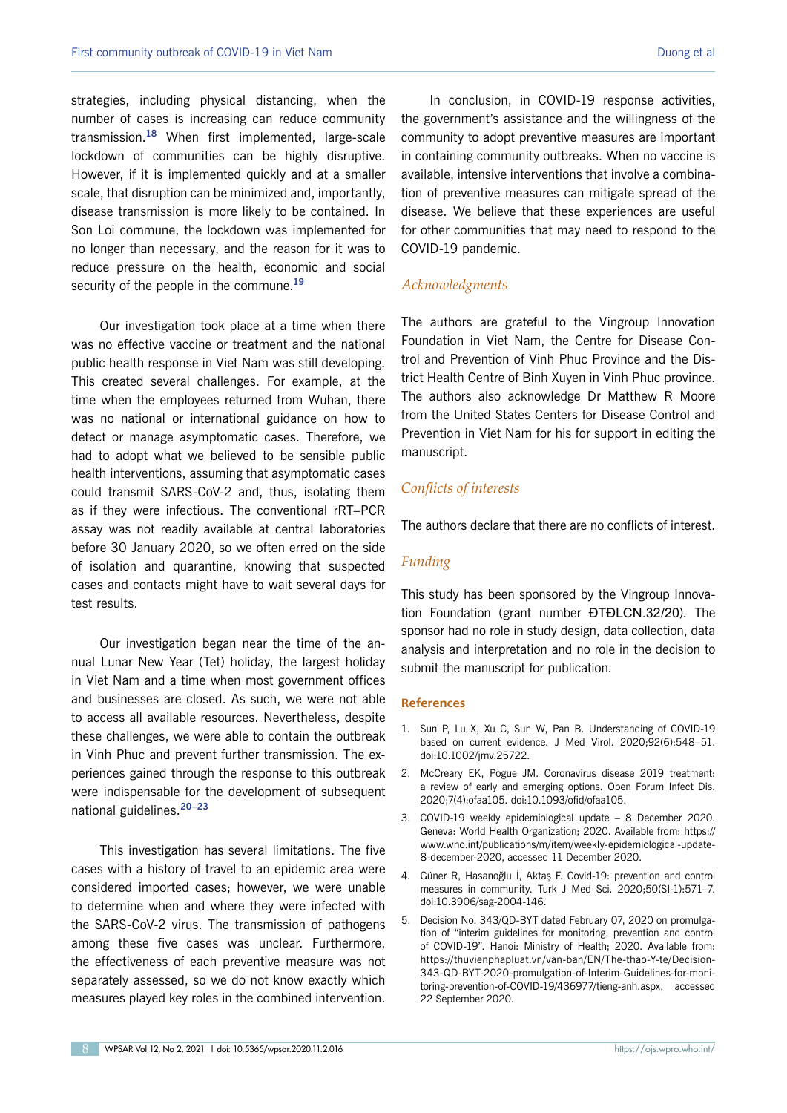strategies, including physical distancing, when the number of cases is increasing can reduce community transmission.**<sup>18</sup>** When first implemented, large-scale lockdown of communities can be highly disruptive. However, if it is implemented quickly and at a smaller scale, that disruption can be minimized and, importantly, disease transmission is more likely to be contained. In Son Loi commune, the lockdown was implemented for no longer than necessary, and the reason for it was to reduce pressure on the health, economic and social security of the people in the commune.**<sup>19</sup>**

Our investigation took place at a time when there was no effective vaccine or treatment and the national public health response in Viet Nam was still developing. This created several challenges. For example, at the time when the employees returned from Wuhan, there was no national or international guidance on how to detect or manage asymptomatic cases. Therefore, we had to adopt what we believed to be sensible public health interventions, assuming that asymptomatic cases could transmit SARS-CoV-2 and, thus, isolating them as if they were infectious. The conventional rRT–PCR assay was not readily available at central laboratories before 30 January 2020, so we often erred on the side of isolation and quarantine, knowing that suspected cases and contacts might have to wait several days for test results.

Our investigation began near the time of the annual Lunar New Year (Tet) holiday, the largest holiday in Viet Nam and a time when most government offices and businesses are closed. As such, we were not able to access all available resources. Nevertheless, despite these challenges, we were able to contain the outbreak in Vinh Phuc and prevent further transmission. The experiences gained through the response to this outbreak were indispensable for the development of subsequent national guidelines.**20–23**

This investigation has several limitations. The five cases with a history of travel to an epidemic area were considered imported cases; however, we were unable to determine when and where they were infected with the SARS-CoV-2 virus. The transmission of pathogens among these five cases was unclear. Furthermore, the effectiveness of each preventive measure was not separately assessed, so we do not know exactly which measures played key roles in the combined intervention.

In conclusion, in COVID-19 response activities, the government's assistance and the willingness of the community to adopt preventive measures are important in containing community outbreaks. When no vaccine is available, intensive interventions that involve a combination of preventive measures can mitigate spread of the disease. We believe that these experiences are useful for other communities that may need to respond to the COVID-19 pandemic.

#### *Acknowledgments*

The authors are grateful to the Vingroup Innovation Foundation in Viet Nam, the Centre for Disease Control and Prevention of Vinh Phuc Province and the District Health Centre of Binh Xuyen in Vinh Phuc province. The authors also acknowledge Dr Matthew R Moore from the United States Centers for Disease Control and Prevention in Viet Nam for his for support in editing the manuscript.

#### *Conflicts of interests*

The authors declare that there are no conflicts of interest.

#### *Funding*

This study has been sponsored by the Vingroup Innovation Foundation (grant number ĐTĐLCN.32/20). The sponsor had no role in study design, data collection, data analysis and interpretation and no role in the decision to submit the manuscript for publication.

#### **References**

- 1. Sun P, Lu X, Xu C, Sun W, Pan B. Understanding of COVID-19 based on current evidence. J Med Virol. 2020;92(6):548–51. [doi:10.1002/jmv.25722.](https://doi.org/10.1002/jmv.25722)
- 2. McCreary EK, Pogue JM. Coronavirus disease 2019 treatment: a review of early and emerging options. Open Forum Infect Dis. 2020;7(4):ofaa105. [doi:10.1093/ofid/ofaa105.](https://doi.org/10.1093/ofid/ofaa105)
- 3. COVID-19 weekly epidemiological update 8 December 2020. Geneva: World Health Organization; 2020. Available from: [https://](https://www.who.int/publications/m/item/weekly-epidemiological-update-8-december-2020) [www.who.int/publications/m/item/weekly-epidemiological-update-](https://www.who.int/publications/m/item/weekly-epidemiological-update-8-december-2020)[8-december-2020](https://www.who.int/publications/m/item/weekly-epidemiological-update-8-december-2020), accessed 11 December 2020.
- 4. Güner R, Hasanoğlu İ, Aktaş F. Covid-19: prevention and control measures in community. Turk J Med Sci. 2020;50(SI-1):571–7. [doi:10.3906/sag-2004-146](https://doi.org/10.3906/sag-2004-146).
- 5. Decision No. 343/QD-BYT dated February 07, 2020 on promulgation of "interim guidelines for monitoring, prevention and control of COVID-19". Hanoi: Ministry of Health; 2020. Available from: [https://thuvienphapluat.vn/van-ban/EN/The-thao-Y-te/Decision-](https://thuvienphapluat.vn/van-ban/EN/The-thao-Y-te/Decision-343-QD-BYT-2020-promulgation-of-Interim-Guidelines-for-monitoring-prevention-of-COVID-19/436977/tieng-anh.aspx)[343-QD-BYT-2020-promulgation-of-Interim-Guidelines-for-moni](https://thuvienphapluat.vn/van-ban/EN/The-thao-Y-te/Decision-343-QD-BYT-2020-promulgation-of-Interim-Guidelines-for-monitoring-prevention-of-COVID-19/436977/tieng-anh.aspx)[toring-prevention-of-COVID-19/436977/tieng-anh.aspx,](https://thuvienphapluat.vn/van-ban/EN/The-thao-Y-te/Decision-343-QD-BYT-2020-promulgation-of-Interim-Guidelines-for-monitoring-prevention-of-COVID-19/436977/tieng-anh.aspx) accessed 22 September 2020.